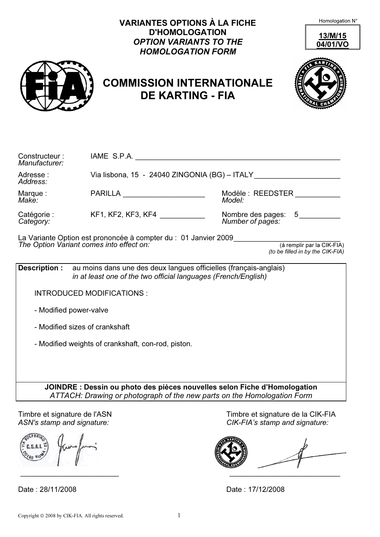|                                                            | <b>VARIANTES OPTIONS À LA FICHE</b><br><b>D'HOMOLOGATION</b><br><b>OPTION VARIANTS TO THE</b><br><b>HOMOLOGATION FORM</b><br><b>COMMISSION INTERNATIONALE</b><br><b>DE KARTING - FIA</b> | Homologation N°<br>13/M/15<br>04/01/VO                                                                                                               |
|------------------------------------------------------------|------------------------------------------------------------------------------------------------------------------------------------------------------------------------------------------|------------------------------------------------------------------------------------------------------------------------------------------------------|
| Constructeur:<br>Manufacturer:<br>Adresse:<br>Address:     |                                                                                                                                                                                          | Via lisbona, 15 - 24040 ZINGONIA (BG) - ITALY __________________________________                                                                     |
| Marque:<br>Make:                                           | PARILLA ______________________                                                                                                                                                           | Modèle : REEDSTER __________<br>Model:                                                                                                               |
| Catégorie :<br>Category:                                   | KF1, KF2, KF3, KF4 ____________                                                                                                                                                          | Nombre des pages: 5<br>Number of pages:                                                                                                              |
|                                                            | La Variante Option est prononcée à compter du : 01 Janvier 2009 ________________<br>The Option Variant comes into effect on:                                                             | (à remplir par la CIK-FIA)<br>(to be filled in by the CIK-FIA)                                                                                       |
|                                                            | <b>Description:</b> au moins dans une des deux langues officielles (français-anglais)<br>in at least one of the two official languages (French/English)                                  |                                                                                                                                                      |
|                                                            | <b>INTRODUCED MODIFICATIONS:</b>                                                                                                                                                         |                                                                                                                                                      |
|                                                            | - Modified power-valve                                                                                                                                                                   |                                                                                                                                                      |
|                                                            | - Modified sizes of crankshaft                                                                                                                                                           |                                                                                                                                                      |
|                                                            | - Modified weights of crankshaft, con-rod, piston.                                                                                                                                       |                                                                                                                                                      |
|                                                            |                                                                                                                                                                                          | JOINDRE : Dessin ou photo des pièces nouvelles selon Fiche d'Homologation<br>ATTACH: Drawing or photograph of the new parts on the Homologation Form |
| Timbre et signature de l'ASN<br>ASN's stamp and signature: |                                                                                                                                                                                          | Timbre et signature de la CIK-FIA<br>CIK-FIA's stamp and signature:                                                                                  |
|                                                            |                                                                                                                                                                                          |                                                                                                                                                      |

Date : 28/11/2008 Date : 17/12/2008

\_\_\_\_\_\_\_\_\_\_\_\_\_\_\_\_\_\_\_\_\_\_\_\_ \_\_\_\_\_\_\_\_\_\_\_\_\_\_\_\_\_\_\_\_\_\_\_\_\_\_\_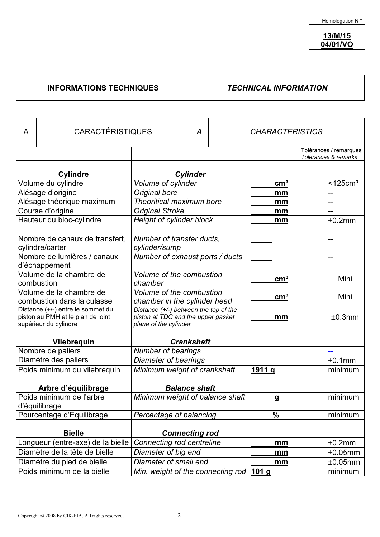13/M/15 04/01/VO

## INFORMATIONS TECHNIQUES | TECHNICAL INFORMATION

| A                                 | <b>CARACTÉRISTIQUES</b>        |                                           | Α |   | <b>CHARACTERISTICS</b> |         |                                |
|-----------------------------------|--------------------------------|-------------------------------------------|---|---|------------------------|---------|--------------------------------|
|                                   |                                |                                           |   |   |                        |         | Tolérances / remarques         |
|                                   |                                |                                           |   |   |                        |         | Tolerances & remarks           |
|                                   | <b>Cylindre</b>                |                                           |   |   |                        |         |                                |
|                                   | Volume du cylindre             | <b>Cylinder</b><br>Volume of cylinder     |   |   | cm <sup>3</sup>        |         | $\overline{$ <125 $\rm cm^{3}$ |
|                                   | Alésage d'origine              | Original bore                             |   |   | mm                     |         |                                |
|                                   | Alésage théorique maximum      | Theoritical maximum bore                  |   |   | mm                     |         | --                             |
|                                   | Course d'origine               | <b>Original Stroke</b>                    |   |   | mm                     |         | --                             |
|                                   | Hauteur du bloc-cylindre       | Height of cylinder block                  |   |   | mm                     |         | ±0.2mm                         |
|                                   |                                |                                           |   |   |                        |         |                                |
|                                   | Nombre de canaux de transfert, | Number of transfer ducts,                 |   |   |                        |         | --                             |
|                                   | cylindre/carter                | cylinder/sump                             |   |   |                        |         |                                |
|                                   | Nombre de lumières / canaux    | Number of exhaust ports / ducts           |   |   |                        |         | $-$                            |
|                                   | d'échappement                  |                                           |   |   |                        |         |                                |
|                                   | Volume de la chambre de        | Volume of the combustion                  |   |   |                        |         |                                |
|                                   | combustion                     | chamber                                   |   |   | cm <sup>3</sup>        |         | Mini                           |
| Volume de la chambre de           |                                | Volume of the combustion                  |   |   |                        |         |                                |
| combustion dans la culasse        |                                | chamber in the cylinder head              |   |   | cm <sup>3</sup>        |         | Mini                           |
| Distance (+/-) entre le sommet du |                                | Distance (+/-) between the top of the     |   |   |                        |         |                                |
| piston au PMH et le plan de joint |                                | piston at TDC and the upper gasket        |   |   | mm                     |         | ±0.3mm                         |
| supérieur du cylindre             |                                | plane of the cylinder                     |   |   |                        |         |                                |
| Vilebrequin                       |                                | <b>Crankshaft</b>                         |   |   |                        |         |                                |
|                                   | Nombre de paliers              | <b>Number of bearings</b>                 |   |   |                        |         | --                             |
| Diamètre des paliers              |                                | <b>Diameter of bearings</b>               |   |   |                        |         | ±0.1mm                         |
|                                   | Poids minimum du vilebrequin   | Minimum weight of crankshaft              |   |   | 1911 g                 |         | minimum                        |
|                                   |                                |                                           |   |   |                        |         |                                |
|                                   | Arbre d'équilibrage            | <b>Balance shaft</b>                      |   |   |                        |         |                                |
|                                   | Poids minimum de l'arbre       | Minimum weight of balance shaft           |   | a |                        | minimum |                                |
|                                   | d'équilibrage                  |                                           |   |   |                        |         |                                |
|                                   | Pourcentage d'Equilibrage      | Percentage of balancing                   |   |   | $\%$                   |         | minimum                        |
|                                   |                                |                                           |   |   |                        |         |                                |
| <b>Bielle</b>                     |                                | <b>Connecting rod</b>                     |   |   |                        |         |                                |
| Longueur (entre-axe) de la bielle |                                | Connecting rod centreline                 |   |   | mm                     |         | $\pm 0.2$ mm                   |
| Diamètre de la tête de bielle     |                                | Diameter of big end                       |   |   | mm                     |         | $\pm 0.05$ mm                  |
| Diamètre du pied de bielle        |                                | Diameter of small end                     |   |   | mm                     |         | $\pm 0.05$ mm                  |
|                                   | Poids minimum de la bielle     | Min. weight of the connecting rod $101 g$ |   |   |                        |         | minimum                        |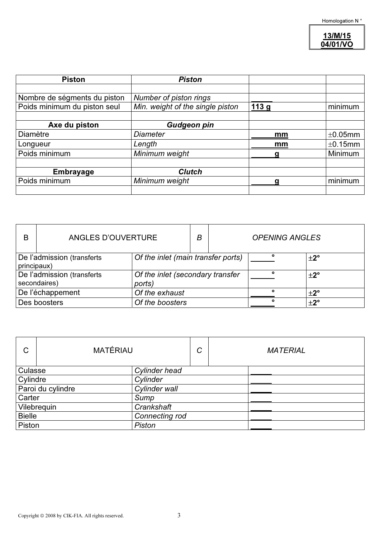13/M/15 04/01/VO

| <b>Piston</b>                | <b>Piston</b>                    |                  |         |
|------------------------------|----------------------------------|------------------|---------|
|                              |                                  |                  |         |
| Nombre de ségments du piston | Number of piston rings           |                  |         |
| Poids minimum du piston seul | Min. weight of the single piston | 113 <sub>g</sub> | minimum |
|                              |                                  |                  |         |
| Axe du piston                | <b>Gudgeon pin</b>               |                  |         |
| Diamètre                     | <b>Diameter</b>                  | mm               | ±0.05mm |
| Longueur                     | Length                           | mm               | ±0.15mm |
| Poids minimum                | Minimum weight                   | α                | Minimum |
|                              |                                  |                  |         |
| <b>Embrayage</b>             | <b>Clutch</b>                    |                  |         |
| Poids minimum                | Minimum weight                   | α                | minimum |
|                              |                                  |                  |         |

| B                                          | ANGLES D'OUVERTURE |                                            | В |   | <b>OPENING ANGLES</b> |  |
|--------------------------------------------|--------------------|--------------------------------------------|---|---|-----------------------|--|
| De l'admission (transferts<br>principaux)  |                    | Of the inlet (main transfer ports)         |   |   | $\pm 2^{\circ}$       |  |
| De l'admission (transferts<br>secondaires) |                    | Of the inlet (secondary transfer<br>ports) |   | ۰ | $\pm 2^{\circ}$       |  |
| De l'échappement                           |                    | Of the exhaust                             |   |   | $\pm 2^{\circ}$       |  |
| Des boosters                               |                    | Of the boosters                            |   |   | $\pm 2^{\circ}$       |  |

| C                               | <b>MATÉRIAU</b> | ⌒<br>U | <b>MATERIAL</b> |
|---------------------------------|-----------------|--------|-----------------|
| Culasse                         | Cylinder head   |        |                 |
| Cylindre                        | Cylinder        |        |                 |
| Paroi du cylindre               | Cylinder wall   |        |                 |
| Carter<br>Sump                  |                 |        |                 |
| Vilebrequin<br>Crankshaft       |                 |        |                 |
| <b>Bielle</b><br>Connecting rod |                 |        |                 |
| Piston<br><b>Piston</b>         |                 |        |                 |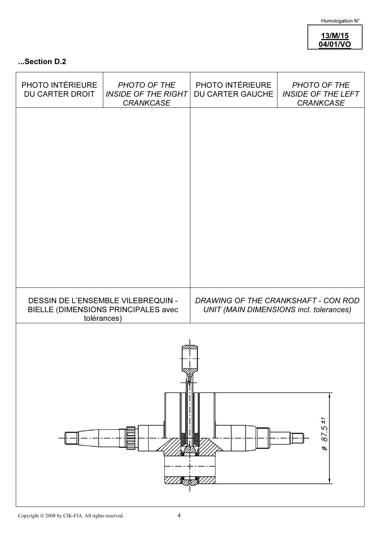Homologation N°

13/M/15 04/01/VO

## ...Section D.2

| PHOTO INTÉRIEURE<br><b>DU CARTER DROIT</b> | PHOTO OF THE<br><b>INSIDE OF THE RIGHT</b><br><b>CRANKCASE</b>                           | PHOTO INTÉRIEURE<br><b>DU CARTER GAUCHE</b> | PHOTO OF THE<br><b>INSIDE OF THE LEFT</b><br>CRANKCASE                         |  |  |  |  |  |  |
|--------------------------------------------|------------------------------------------------------------------------------------------|---------------------------------------------|--------------------------------------------------------------------------------|--|--|--|--|--|--|
|                                            |                                                                                          |                                             |                                                                                |  |  |  |  |  |  |
|                                            |                                                                                          |                                             |                                                                                |  |  |  |  |  |  |
|                                            |                                                                                          |                                             |                                                                                |  |  |  |  |  |  |
|                                            |                                                                                          |                                             |                                                                                |  |  |  |  |  |  |
|                                            |                                                                                          |                                             |                                                                                |  |  |  |  |  |  |
|                                            | DESSIN DE L'ENSEMBLE VILEBREQUIN -<br>BIELLE (DIMENSIONS PRINCIPALES avec<br>tolérances) |                                             | DRAWING OF THE CRANKSHAFT - CON ROD<br>UNIT (MAIN DIMENSIONS incl. tolerances) |  |  |  |  |  |  |
|                                            |                                                                                          |                                             |                                                                                |  |  |  |  |  |  |
|                                            |                                                                                          |                                             |                                                                                |  |  |  |  |  |  |
|                                            |                                                                                          |                                             |                                                                                |  |  |  |  |  |  |
|                                            |                                                                                          |                                             | 87.5±1<br>ø                                                                    |  |  |  |  |  |  |
|                                            |                                                                                          |                                             |                                                                                |  |  |  |  |  |  |